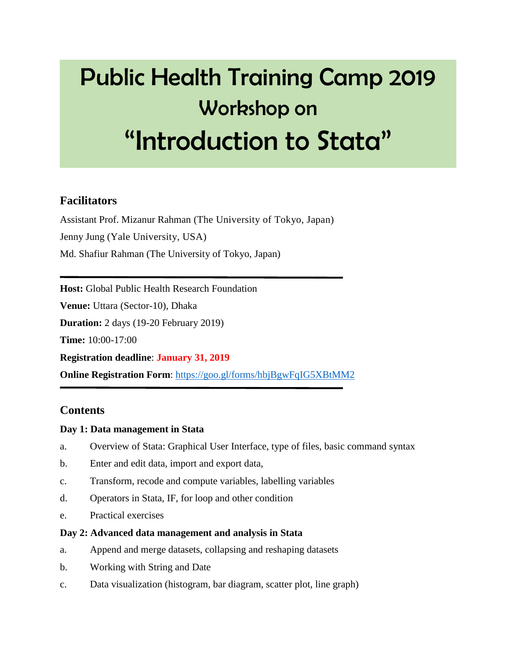# Public Health Training Camp 2019 Workshop on "Introduction to Stata"

## **Facilitators**

Assistant Prof. Mizanur Rahman (The University of Tokyo, Japan) Jenny Jung (Yale University, USA) Md. Shafiur Rahman (The University of Tokyo, Japan)

**Host:** Global Public Health Research Foundation

**Venue:** Uttara (Sector-10), Dhaka

**Duration:** 2 days (19-20 February 2019)

**Time:** 10:00-17:00

**Registration deadline**: **January 31, 2019**

**Online Registration Form:** <https://goo.gl/forms/hbjBgwFqIG5XBtMM2>

## **Contents**

#### **Day 1: Data management in Stata**

- a. Overview of Stata: Graphical User Interface, type of files, basic command syntax
- b. Enter and edit data, import and export data,
- c. Transform, recode and compute variables, labelling variables
- d. Operators in Stata, IF, for loop and other condition
- e. Practical exercises

#### **Day 2: Advanced data management and analysis in Stata**

- a. Append and merge datasets, collapsing and reshaping datasets
- b. Working with String and Date
- c. Data visualization (histogram, bar diagram, scatter plot, line graph)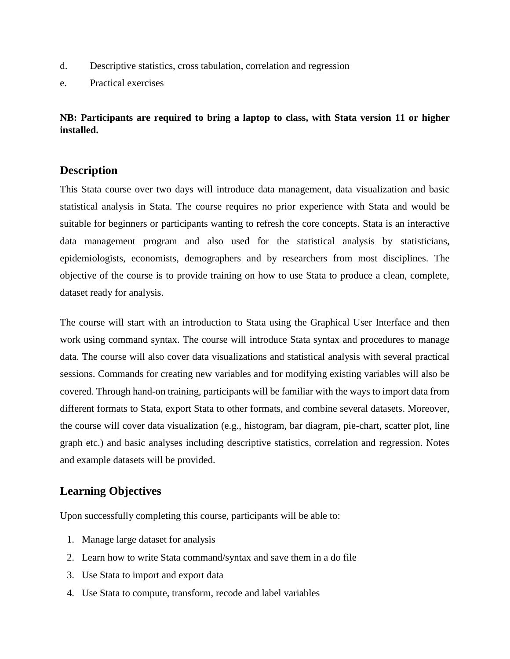- d. Descriptive statistics, cross tabulation, correlation and regression
- e. Practical exercises

**NB: Participants are required to bring a laptop to class, with Stata version 11 or higher installed.**

#### **Description**

This Stata course over two days will introduce data management, data visualization and basic statistical analysis in Stata. The course requires no prior experience with Stata and would be suitable for beginners or participants wanting to refresh the core concepts. Stata is an interactive data management program and also used for the statistical analysis by statisticians, epidemiologists, economists, demographers and by researchers from most disciplines. The objective of the course is to provide training on how to use Stata to produce a clean, complete, dataset ready for analysis.

The course will start with an introduction to Stata using the Graphical User Interface and then work using command syntax. The course will introduce Stata syntax and procedures to manage data. The course will also cover data visualizations and statistical analysis with several practical sessions. Commands for creating new variables and for modifying existing variables will also be covered. Through hand-on training, participants will be familiar with the ways to import data from different formats to Stata, export Stata to other formats, and combine several datasets. Moreover, the course will cover data visualization (e.g., histogram, bar diagram, pie-chart, scatter plot, line graph etc.) and basic analyses including descriptive statistics, correlation and regression. Notes and example datasets will be provided.

## **Learning Objectives**

Upon successfully completing this course, participants will be able to:

- 1. Manage large dataset for analysis
- 2. Learn how to write Stata command/syntax and save them in a do file
- 3. Use Stata to import and export data
- 4. Use Stata to compute, transform, recode and label variables